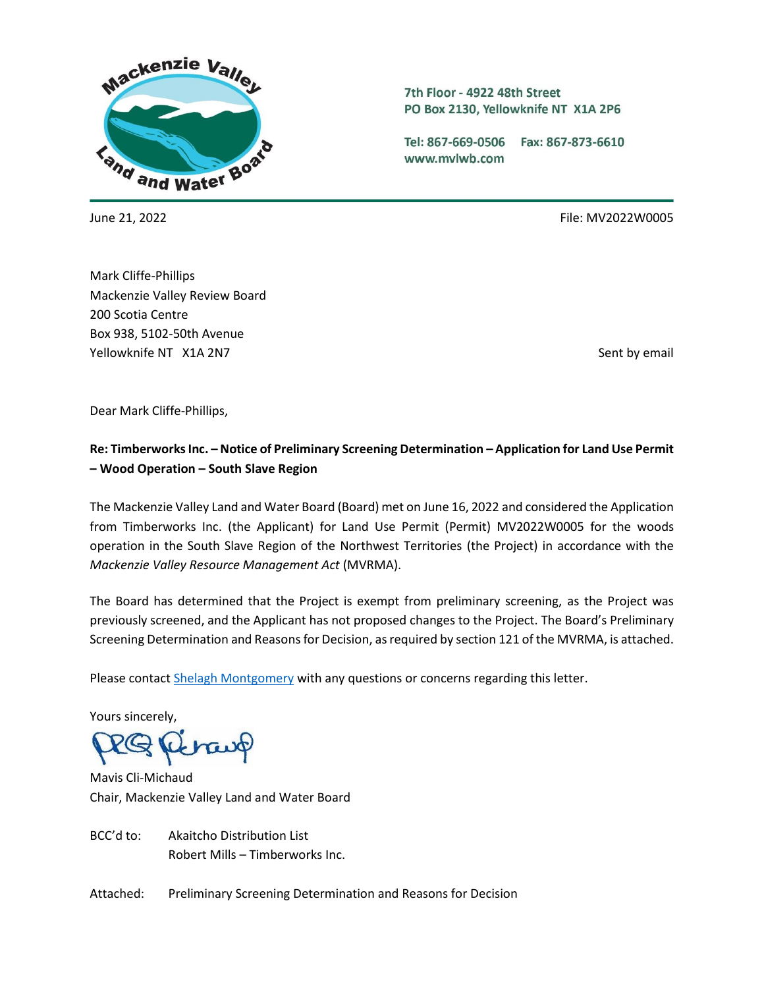

7th Floor - 4922 48th Street PO Box 2130, Yellowknife NT X1A 2P6

Tel: 867-669-0506 Fax: 867-873-6610 www.mvlwb.com

June 21, 2022 File: MV2022W0005

Mark Cliffe-Phillips Mackenzie Valley Review Board 200 Scotia Centre Box 938, 5102-50th Avenue Yellowknife NT X1A 2N7 Sent by email and the sent by email sent by email sent by email sent by email

Dear Mark Cliffe-Phillips,

# **Re: Timberworks Inc. – Notice of Preliminary Screening Determination – Application for Land Use Permit – Wood Operation – South Slave Region**

The Mackenzie Valley Land and Water Board (Board) met on June 16, 2022 and considered the Application from Timberworks Inc. (the Applicant) for Land Use Permit (Permit) MV2022W0005 for the woods operation in the South Slave Region of the Northwest Territories (the Project) in accordance with the *Mackenzie Valley Resource Management Act* (MVRMA).

The Board has determined that the Project is exempt from preliminary screening, as the Project was previously screened, and the Applicant has not proposed changes to the Project. The Board's Preliminary Screening Determination and Reasons for Decision, as required by section 121 of the MVRMA, is attached.

Please contact [Shelagh Montgomery](mailto:smontgomery@mvlwb.com) with any questions or concerns regarding this letter.

Yours sincerely,

trav

Mavis Cli-Michaud Chair, Mackenzie Valley Land and Water Board

BCC'd to: Akaitcho Distribution List Robert Mills – Timberworks Inc.

Attached: Preliminary Screening Determination and Reasons for Decision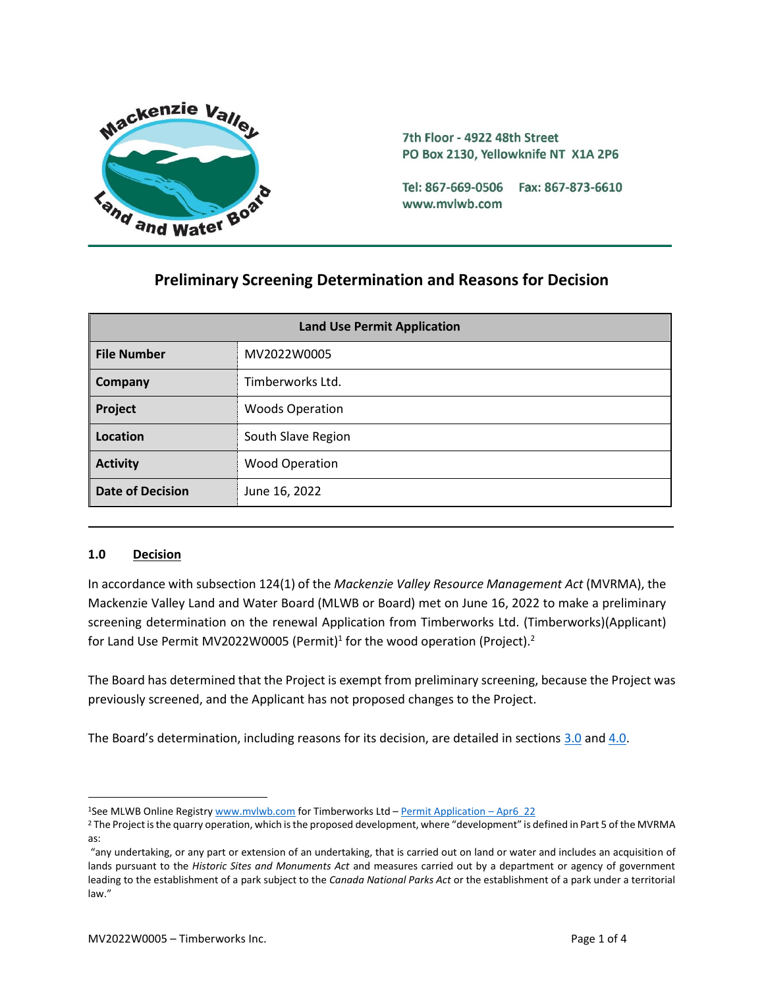

7th Floor - 4922 48th Street PO Box 2130, Yellowknife NT X1A 2P6

Tel: 867-669-0506 Fax: 867-873-6610 www.mvlwb.com

# **Preliminary Screening Determination and Reasons for Decision**

| <b>Land Use Permit Application</b> |                        |
|------------------------------------|------------------------|
| <b>File Number</b>                 | MV2022W0005            |
| Company                            | Timberworks Ltd.       |
| Project                            | <b>Woods Operation</b> |
| Location                           | South Slave Region     |
| <b>Activity</b>                    | <b>Wood Operation</b>  |
| <b>Date of Decision</b>            | June 16, 2022          |

#### **1.0 Decision**

In accordance with subsection 124(1) of the *Mackenzie Valley Resource Management Act* (MVRMA), the Mackenzie Valley Land and Water Board (MLWB or Board) met on June 16, 2022 to make a preliminary screening determination on the renewal Application from Timberworks Ltd. (Timberworks)(Applicant) for Land Use Permit MV2022W0005 (Permit)<sup>1</sup> for the wood operation (Project).<sup>2</sup>

The Board has determined that the Project is exempt from preliminary screening, because the Project was previously screened, and the Applicant has not proposed changes to the Project.

The Board's determination, including reasons for its decision, are detailed in sections [3.0](#page-2-0) and [4.0.](#page-3-0)

<sup>&</sup>lt;sup>1</sup>See MLWB Online Registr[y www.mvlwb.com](https://mvlwb.com/) for Timberworks Ltd - [Permit Application](https://registry.mvlwb.ca/Documents/MV2022W0005/Timberworks%20-%20Type%20A%20LUP%20Application%20-%20Apr6_22.pdf) - Apr6\_22

<sup>&</sup>lt;sup>2</sup> The Project is the quarry operation, which is the proposed development, where "development" is defined in Part 5 of the MVRMA as:

<sup>&</sup>quot;any undertaking, or any part or extension of an undertaking, that is carried out on land or water and includes an acquisition of lands pursuant to the *Historic Sites and Monuments Act* and measures carried out by a department or agency of government leading to the establishment of a park subject to the *Canada National Parks Act* or the establishment of a park under a territorial law."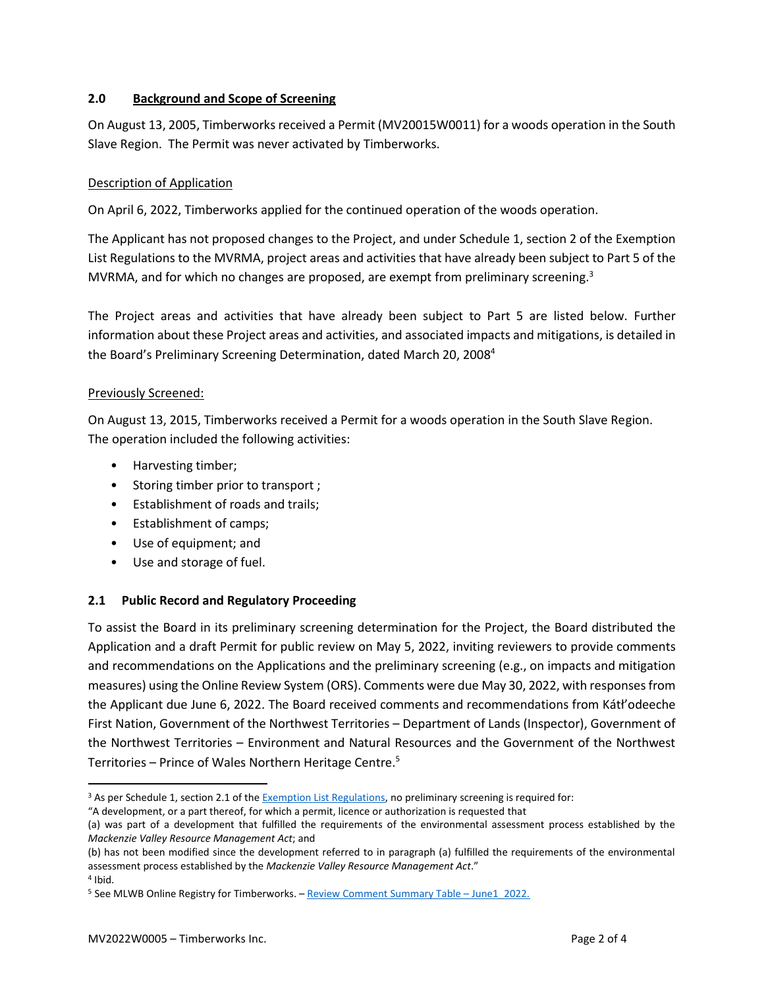### <span id="page-2-0"></span>**2.0 Background and Scope of Screening**

On August 13, 2005, Timberworks received a Permit (MV20015W0011) for a woods operation in the South Slave Region. The Permit was never activated by Timberworks.

### Description of Application

On April 6, 2022, Timberworks applied for the continued operation of the woods operation.

The Applicant has not proposed changes to the Project, and under Schedule 1, section 2 of the Exemption List Regulations to the MVRMA, project areas and activities that have already been subject to Part 5 of the MVRMA, and for which no changes are proposed, are exempt from preliminary screening.<sup>3</sup>

The Project areas and activities that have already been subject to Part 5 are listed below. Further information about these Project areas and activities, and associated impacts and mitigations, is detailed in the Board's Preliminary Screening Determination, dated March 20, 2008<sup>4</sup>

### Previously Screened:

On August 13, 2015, Timberworks received a Permit for a woods operation in the South Slave Region. The operation included the following activities:

- Harvesting timber;
- Storing timber prior to transport ;
- Establishment of roads and trails;
- Establishment of camps;
- Use of equipment; and
- Use and storage of fuel.

## **2.1 Public Record and Regulatory Proceeding**

To assist the Board in its preliminary screening determination for the Project, the Board distributed the Application and a draft Permit for public review on May 5, 2022, inviting reviewers to provide comments and recommendations on the Applications and the preliminary screening (e.g., on impacts and mitigation measures) using the Online Review System (ORS). Comments were due May 30, 2022, with responses from the Applicant due June 6, 2022. The Board received comments and recommendations from Kátł'odeeche First Nation, Government of the Northwest Territories – Department of Lands (Inspector), Government of the Northwest Territories – Environment and Natural Resources and the Government of the Northwest Territories – Prince of Wales Northern Heritage Centre. 5

<sup>&</sup>lt;sup>3</sup> As per Schedule 1, section 2.1 of th[e Exemption List Regulations,](http://laws-lois.justice.gc.ca/PDF/SOR-99-13.pdf) no preliminary screening is required for:

<sup>&</sup>quot;A development, or a part thereof, for which a permit, licence or authorization is requested that

<sup>(</sup>a) was part of a development that fulfilled the requirements of the environmental assessment process established by the *Mackenzie Valley Resource Management Act*; and

<sup>(</sup>b) has not been modified since the development referred to in paragraph (a) fulfilled the requirements of the environmental assessment process established by the *Mackenzie Valley Resource Management Act*."

<sup>4</sup> Ibid.

<sup>5</sup> See MLWB Online Registry for Timberworks. – [Review Comment Summary Table](https://new.onlinereviewsystem.ca/review/4E920AE1-8FCC-EC11-997E-CC60C843C6BF) – June1\_2022.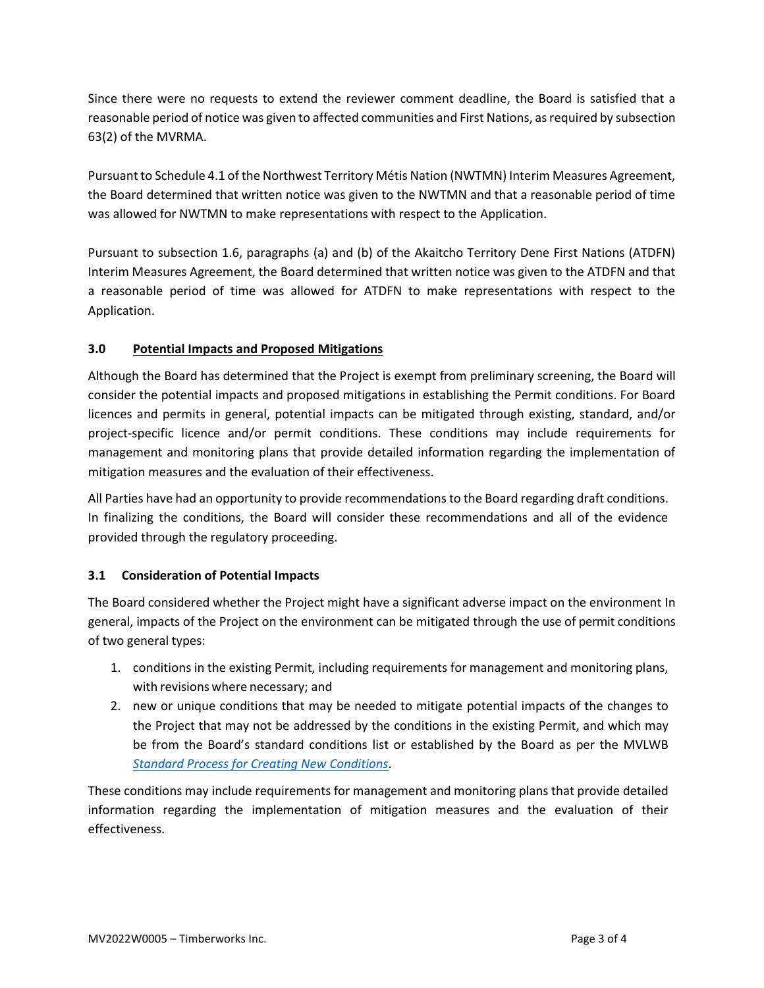Since there were no requests to extend the reviewer comment deadline, the Board is satisfied that a reasonable period of notice was given to affected communities and First Nations, as required by subsection 63(2) of the MVRMA.

Pursuant to Schedule 4.1 of the Northwest Territory Métis Nation (NWTMN) Interim Measures Agreement, the Board determined that written notice was given to the NWTMN and that a reasonable period of time was allowed for NWTMN to make representations with respect to the Application.

Pursuant to subsection 1.6, paragraphs (a) and (b) of the Akaitcho Territory Dene First Nations (ATDFN) Interim Measures Agreement, the Board determined that written notice was given to the ATDFN and that a reasonable period of time was allowed for ATDFN to make representations with respect to the Application.

## <span id="page-3-0"></span>**3.0 Potential Impacts and Proposed Mitigations**

Although the Board has determined that the Project is exempt from preliminary screening, the Board will consider the potential impacts and proposed mitigations in establishing the Permit conditions. For Board licences and permits in general, potential impacts can be mitigated through existing, standard, and/or project-specific licence and/or permit conditions. These conditions may include requirements for management and monitoring plans that provide detailed information regarding the implementation of mitigation measures and the evaluation of their effectiveness.

All Parties have had an opportunity to provide recommendations to the Board regarding draft conditions. In finalizing the conditions, the Board will consider these recommendations and all of the evidence provided through the regulatory proceeding.

## **3.1 Consideration of Potential Impacts**

The Board considered whether the Project might have a significant adverse impact on the environment In general, impacts of the Project on the environment can be mitigated through the use of permit conditions of two general types:

- 1. conditions in the existing Permit, including requirements for management and monitoring plans, with revisions where necessary; and
- 2. new or unique conditions that may be needed to mitigate potential impacts of the changes to the Project that may not be addressed by the conditions in the existing Permit, and which may be from the Board's standard conditions list or established by the Board as per the MVLWB *[Standard Process for Creating New](https://mvlwb.com/sites/default/files/2021-07/LWB%20Standard%20Process%20for%20New%20Conditions%20-%20Jul%2019_21.pdf) Conditions*.

These conditions may include requirements for management and monitoring plans that provide detailed information regarding the implementation of mitigation measures and the evaluation of their effectiveness.